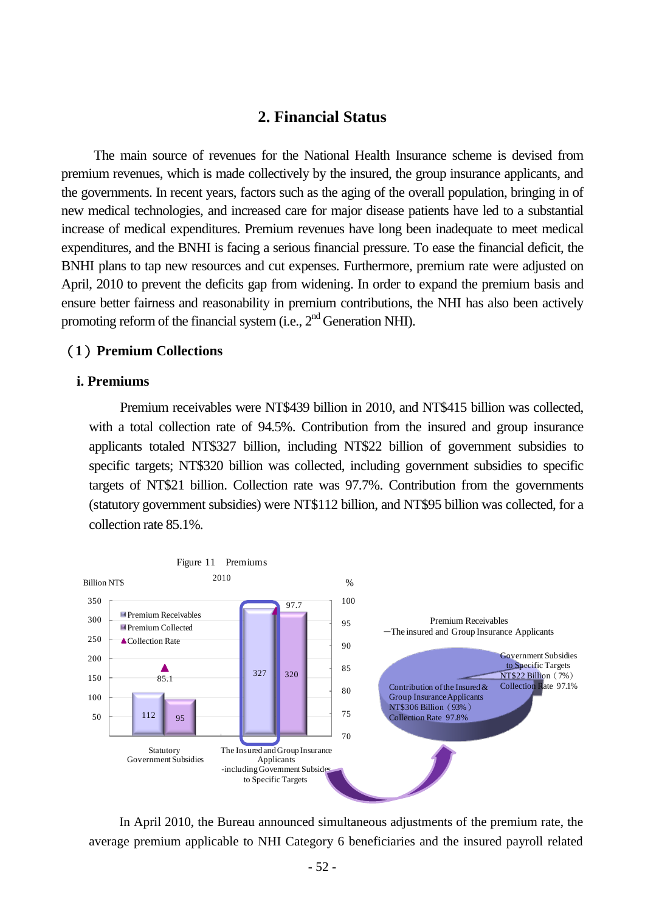# **2. Financial Status**

The main source of revenues for the National Health Insurance scheme is devised from premium revenues, which is made collectively by the insured, the group insurance applicants, and the governments. In recent years, factors such as the aging of the overall population, bringing in of new medical technologies, and increased care for major disease patients have led to a substantial increase of medical expenditures. Premium revenues have long been inadequate to meet medical expenditures, and the BNHI is facing a serious financial pressure. To ease the financial deficit, the BNHI plans to tap new resources and cut expenses. Furthermore, premium rate were adjusted on April, 2010 to prevent the deficits gap from widening. In order to expand the premium basis and ensure better fairness and reasonability in premium contributions, the NHI has also been actively promoting reform of the financial system (i.e.,  $2<sup>nd</sup>$  Generation NHI).

# (**1**)**Premium Collections**

### **i. Premiums**

Premium receivables were NT\$439 billion in 2010, and NT\$415 billion was collected, with a total collection rate of 94.5%. Contribution from the insured and group insurance applicants totaled NT\$327 billion, including NT\$22 billion of government subsidies to specific targets; NT\$320 billion was collected, including government subsidies to specific targets of NT\$21 billion. Collection rate was 97.7%. Contribution from the governments (statutory government subsidies) were NT\$112 billion, and NT\$95 billion was collected, for a collection rate 85.1%.



In April 2010, the Bureau announced simultaneous adjustments of the premium rate, the average premium applicable to NHI Category 6 beneficiaries and the insured payroll related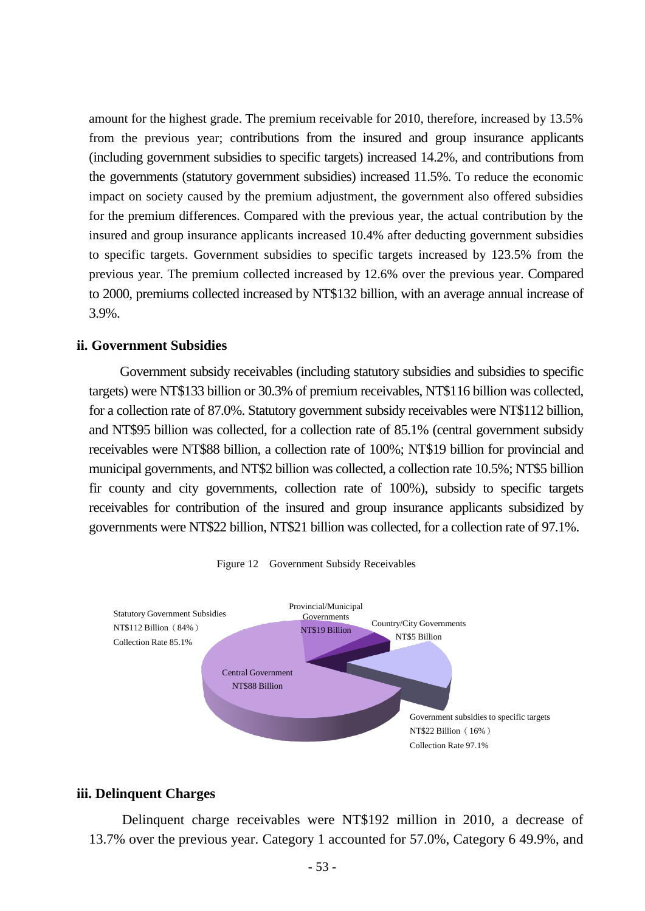amount for the highest grade. The premium receivable for 2010, therefore, increased by 13.5% from the previous year; contributions from the insured and group insurance applicants (including government subsidies to specific targets) increased 14.2%, and contributions from the governments (statutory government subsidies) increased 11.5%. To reduce the economic impact on society caused by the premium adjustment, the government also offered subsidies for the premium differences. Compared with the previous year, the actual contribution by the insured and group insurance applicants increased 10.4% after deducting government subsidies to specific targets. Government subsidies to specific targets increased by 123.5% from the previous year. The premium collected increased by 12.6% over the previous year. Compared to 2000, premiums collected increased by NT\$132 billion, with an average annual increase of 3.9%.

# **ii. Government Subsidies**

Government subsidy receivables (including statutory subsidies and subsidies to specific targets) were NT\$133 billion or 30.3% of premium receivables, NT\$116 billion was collected, for a collection rate of 87.0%. Statutory government subsidy receivables were NT\$112 billion, and NT\$95 billion was collected, for a collection rate of 85.1% (central government subsidy receivables were NT\$88 billion, a collection rate of 100%; NT\$19 billion for provincial and municipal governments, and NT\$2 billion was collected, a collection rate 10.5%; NT\$5 billion fir county and city governments, collection rate of 100%), subsidy to specific targets receivables for contribution of the insured and group insurance applicants subsidized by governments were NT\$22 billion, NT\$21 billion was collected, for a collection rate of 97.1%.





### **iii. Delinquent Charges**

Delinquent charge receivables were NT\$192 million in 2010, a decrease of 13.7% over the previous year. Category 1 accounted for 57.0%, Category 6 49.9%, and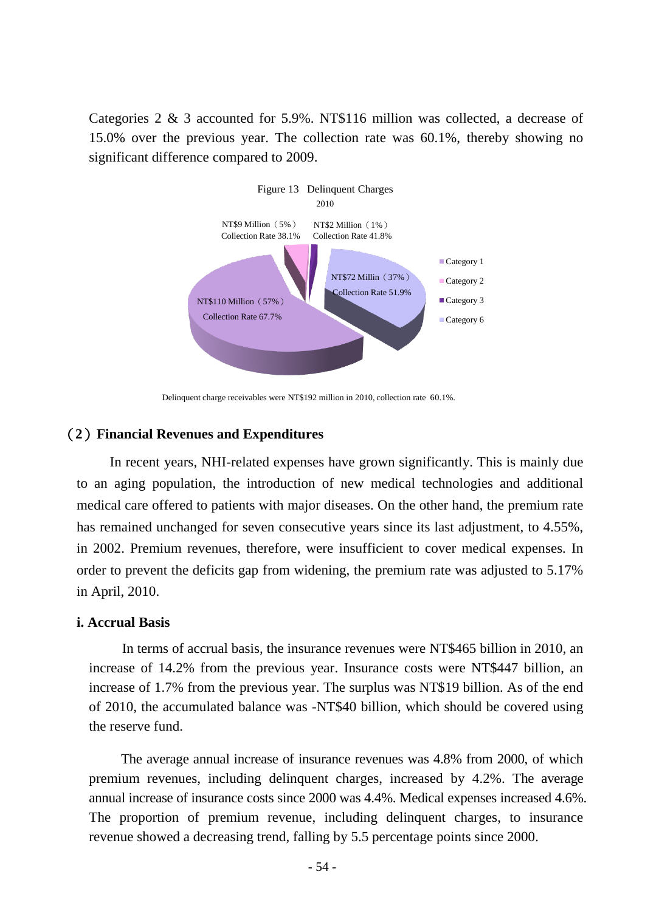Categories 2 & 3 accounted for 5.9%. NT\$116 million was collected, a decrease of 15.0% over the previous year. The collection rate was 60.1%, thereby showing no significant difference compared to 2009.



Delinquent charge receivables were NT\$192 million in 2010, collection rate 60.1%.

# (**2**)**Financial Revenues and Expenditures**

In recent years, NHI-related expenses have grown significantly. This is mainly due to an aging population, the introduction of new medical technologies and additional medical care offered to patients with major diseases. On the other hand, the premium rate has remained unchanged for seven consecutive years since its last adjustment, to 4.55%, in 2002. Premium revenues, therefore, were insufficient to cover medical expenses. In order to prevent the deficits gap from widening, the premium rate was adjusted to 5.17% in April, 2010.

### **i. Accrual Basis**

In terms of accrual basis, the insurance revenues were NT\$465 billion in 2010, an increase of 14.2% from the previous year. Insurance costs were NT\$447 billion, an increase of 1.7% from the previous year. The surplus was NT\$19 billion. As of the end of 2010, the accumulated balance was -NT\$40 billion, which should be covered using the reserve fund.

The average annual increase of insurance revenues was 4.8% from 2000, of which premium revenues, including delinquent charges, increased by 4.2%. The average annual increase of insurance costs since 2000 was 4.4%. Medical expenses increased 4.6%. The proportion of premium revenue, including delinquent charges, to insurance revenue showed a decreasing trend, falling by 5.5 percentage points since 2000.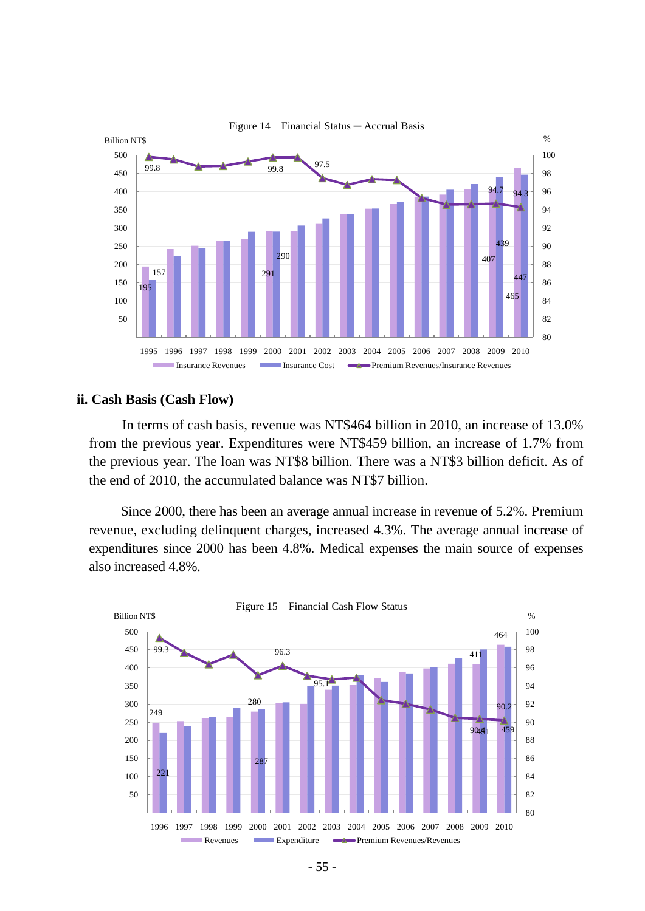

#### Figure 14 Financial Status ─ Accrual Basis

#### **ii. Cash Basis (Cash Flow)**

In terms of cash basis, revenue was NT\$464 billion in 2010, an increase of 13.0% from the previous year. Expenditures were NT\$459 billion, an increase of 1.7% from the previous year. The loan was NT\$8 billion. There was a NT\$3 billion deficit. As of the end of 2010, the accumulated balance was NT\$7 billion.

Since 2000, there has been an average annual increase in revenue of 5.2%. Premium revenue, excluding delinquent charges, increased 4.3%. The average annual increase of expenditures since 2000 has been 4.8%. Medical expenses the main source of expenses also increased 4.8%.